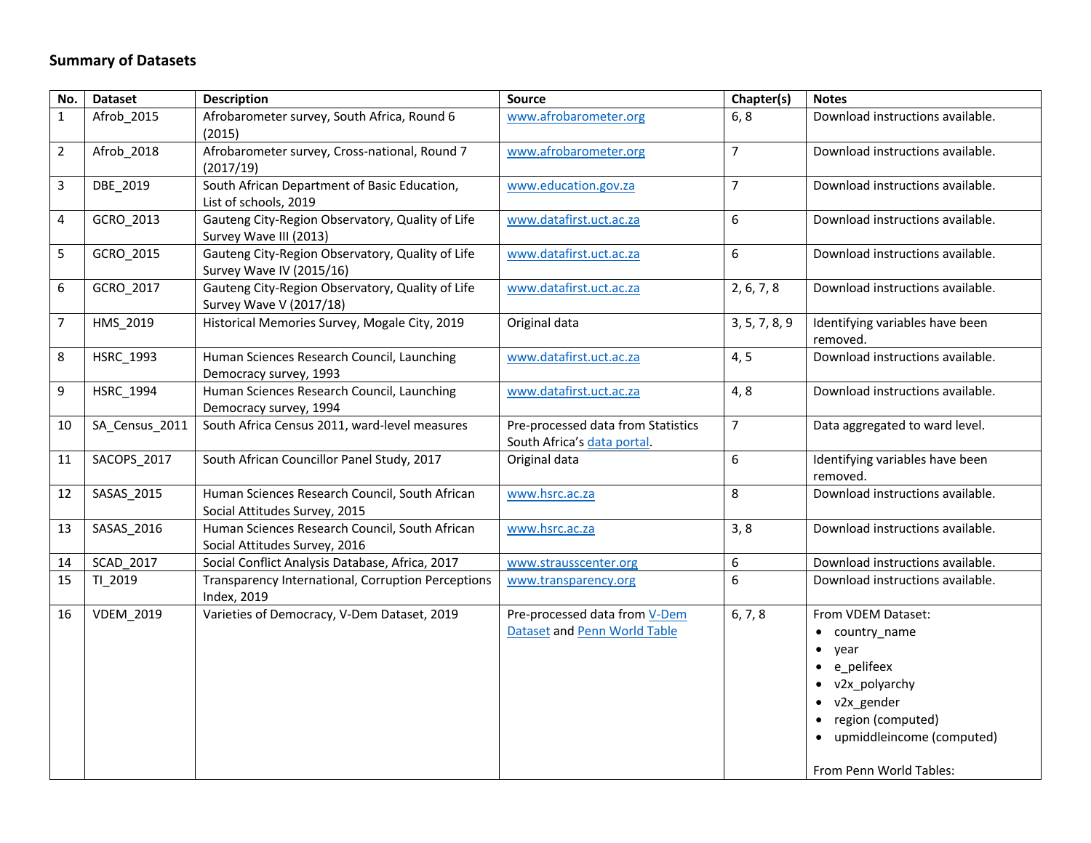## **Summary of Datasets**

| No.            | <b>Dataset</b>   | <b>Description</b>                                                              | Source                                                            | Chapter(s)     | <b>Notes</b>                                                                                                                                                                                       |
|----------------|------------------|---------------------------------------------------------------------------------|-------------------------------------------------------------------|----------------|----------------------------------------------------------------------------------------------------------------------------------------------------------------------------------------------------|
| $\mathbf{1}$   | Afrob 2015       | Afrobarometer survey, South Africa, Round 6<br>(2015)                           | www.afrobarometer.org                                             | 6, 8           | Download instructions available.                                                                                                                                                                   |
| $\overline{2}$ | Afrob 2018       | Afrobarometer survey, Cross-national, Round 7<br>(2017/19)                      | www.afrobarometer.org                                             | $\overline{7}$ | Download instructions available.                                                                                                                                                                   |
| 3              | DBE_2019         | South African Department of Basic Education,<br>List of schools, 2019           | www.education.gov.za                                              | $\overline{7}$ | Download instructions available.                                                                                                                                                                   |
| 4              | GCRO_2013        | Gauteng City-Region Observatory, Quality of Life<br>Survey Wave III (2013)      | www.datafirst.uct.ac.za                                           | 6              | Download instructions available.                                                                                                                                                                   |
| 5              | GCRO_2015        | Gauteng City-Region Observatory, Quality of Life<br>Survey Wave IV (2015/16)    | www.datafirst.uct.ac.za                                           | 6              | Download instructions available.                                                                                                                                                                   |
| 6              | GCRO_2017        | Gauteng City-Region Observatory, Quality of Life<br>Survey Wave V (2017/18)     | www.datafirst.uct.ac.za                                           | 2, 6, 7, 8     | Download instructions available.                                                                                                                                                                   |
| $\overline{7}$ | HMS_2019         | Historical Memories Survey, Mogale City, 2019                                   | Original data                                                     | 3, 5, 7, 8, 9  | Identifying variables have been<br>removed.                                                                                                                                                        |
| 8              | HSRC_1993        | Human Sciences Research Council, Launching<br>Democracy survey, 1993            | www.datafirst.uct.ac.za                                           | 4, 5           | Download instructions available.                                                                                                                                                                   |
| 9              | HSRC_1994        | Human Sciences Research Council, Launching<br>Democracy survey, 1994            | www.datafirst.uct.ac.za                                           | 4, 8           | Download instructions available.                                                                                                                                                                   |
| 10             | SA_Census_2011   | South Africa Census 2011, ward-level measures                                   | Pre-processed data from Statistics<br>South Africa's data portal. | $\overline{7}$ | Data aggregated to ward level.                                                                                                                                                                     |
| 11             | SACOPS_2017      | South African Councillor Panel Study, 2017                                      | Original data                                                     | 6              | Identifying variables have been<br>removed.                                                                                                                                                        |
| 12             | SASAS_2015       | Human Sciences Research Council, South African<br>Social Attitudes Survey, 2015 | www.hsrc.ac.za                                                    | 8              | Download instructions available.                                                                                                                                                                   |
| 13             | SASAS_2016       | Human Sciences Research Council, South African<br>Social Attitudes Survey, 2016 | www.hsrc.ac.za                                                    | 3, 8           | Download instructions available.                                                                                                                                                                   |
| 14             | <b>SCAD 2017</b> | Social Conflict Analysis Database, Africa, 2017                                 | www.strausscenter.org                                             | 6              | Download instructions available.                                                                                                                                                                   |
| 15             | TI_2019          | Transparency International, Corruption Perceptions<br>Index, 2019               | www.transparency.org                                              | 6              | Download instructions available.                                                                                                                                                                   |
| 16             | <b>VDEM_2019</b> | Varieties of Democracy, V-Dem Dataset, 2019                                     | Pre-processed data from V-Dem<br>Dataset and Penn World Table     | 6, 7, 8        | From VDEM Dataset:<br>• country_name<br>$\bullet$ year<br>• e pelifeex<br>• v2x_polyarchy<br>$\bullet$ v2x gender<br>• region (computed)<br>• upmiddleincome (computed)<br>From Penn World Tables: |